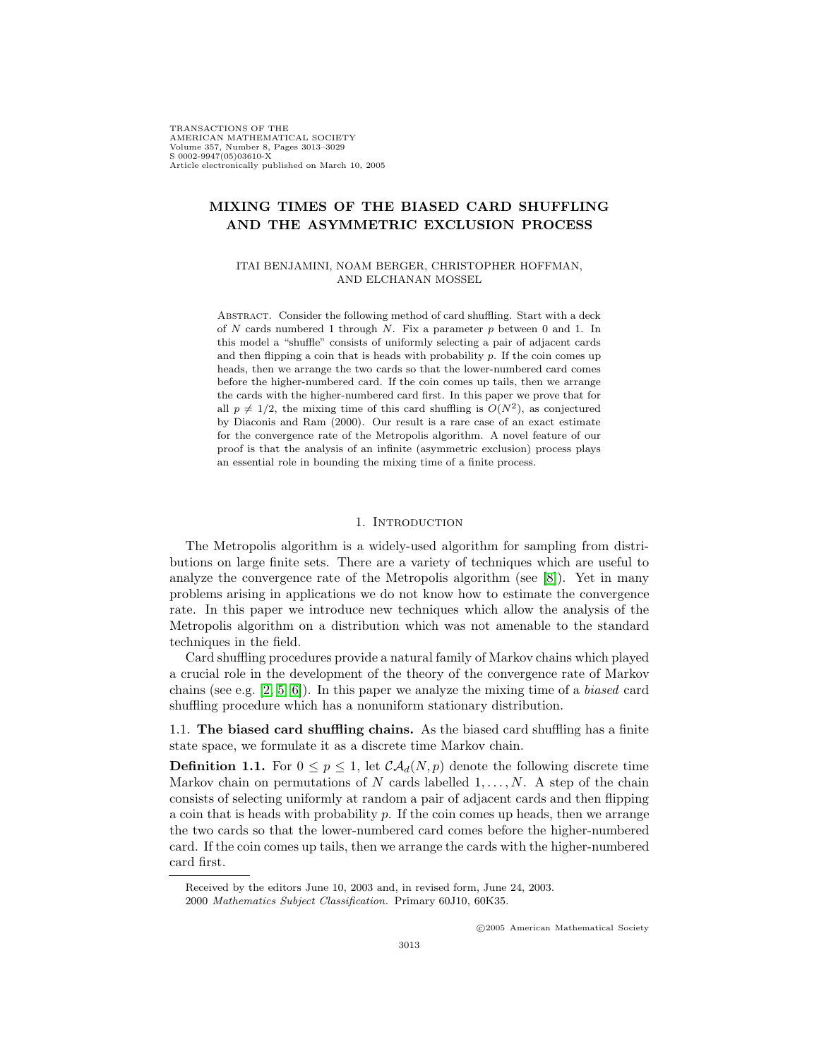TRANSACTIONS OF THE AMERICAN MATHEMATICAL SOCIETY Volume 357, Number 8, Pages 3013–3029 S 0002-9947(05)03610-X Article electronically published on March 10, 2005

# **MIXING TIMES OF THE BIASED CARD SHUFFLING AND THE ASYMMETRIC EXCLUSION PROCESS**

# ITAI BENJAMINI, NOAM BERGER, CHRISTOPHER HOFFMAN, AND ELCHANAN MOSSEL

Abstract. Consider the following method of card shuffling. Start with a deck of *N* cards numbered 1 through *N*. Fix a parameter *p* between 0 and 1. In this model a "shuffle" consists of uniformly selecting a pair of adjacent cards and then flipping a coin that is heads with probability *p*. If the coin comes up heads, then we arrange the two cards so that the lower-numbered card comes before the higher-numbered card. If the coin comes up tails, then we arrange the cards with the higher-numbered card first. In this paper we prove that for all  $p \neq 1/2$ , the mixing time of this card shuffling is  $O(N^2)$ , as conjectured by Diaconis and Ram (2000). Our result is a rare case of an exact estimate for the convergence rate of the Metropolis algorithm. A novel feature of our proof is that the analysis of an infinite (asymmetric exclusion) process plays an essential role in bounding the mixing time of a finite process.

# 1. Introduction

The Metropolis algorithm is a widely-used algorithm for sampling from distributions on large finite sets. There are a variety of techniques which are useful to analyze the convergence rate of the Metropolis algorithm (see [\[8\]](#page-16-0)). Yet in many problems arising in applications we do not know how to estimate the convergence rate. In this paper we introduce new techniques which allow the analysis of the Metropolis algorithm on a distribution which was not amenable to the standard techniques in the field.

Card shuffling procedures provide a natural family of Markov chains which played a crucial role in the development of the theory of the convergence rate of Markov chains (see e.g. [\[2,](#page-15-0) [5,](#page-16-1) [6\]](#page-16-2)). In this paper we analyze the mixing time of a *biased* card shuffling procedure which has a nonuniform stationary distribution.

1.1. **The biased card shuffling chains.** As the biased card shuffling has a finite state space, we formulate it as a discrete time Markov chain.

**Definition 1.1.** For  $0 \leq p \leq 1$ , let  $CA_d(N, p)$  denote the following discrete time Markov chain on permutations of N cards labelled  $1, \ldots, N$ . A step of the chain consists of selecting uniformly at random a pair of adjacent cards and then flipping a coin that is heads with probability  $p$ . If the coin comes up heads, then we arrange the two cards so that the lower-numbered card comes before the higher-numbered card. If the coin comes up tails, then we arrange the cards with the higher-numbered card first.

Received by the editors June 10, 2003 and, in revised form, June 24, 2003.

<sup>2000</sup> Mathematics Subject Classification. Primary 60J10, 60K35.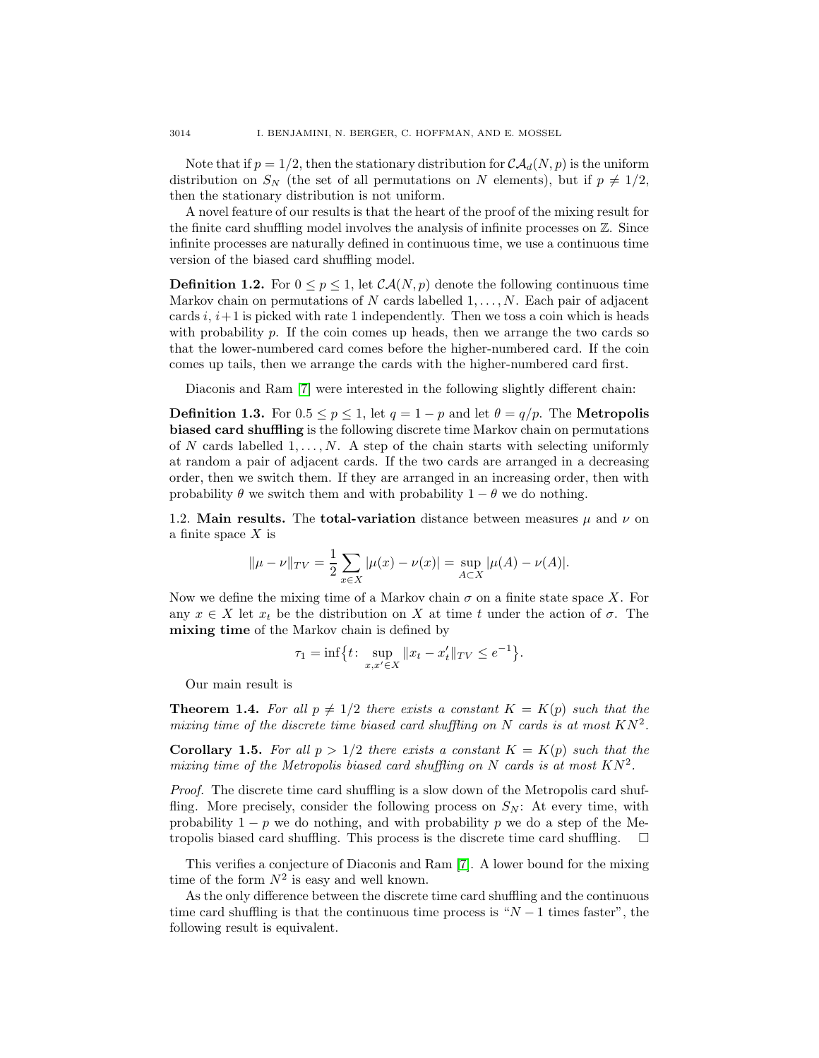Note that if  $p = 1/2$ , then the stationary distribution for  $\mathcal{CA}_d(N, p)$  is the uniform distribution on  $S_N$  (the set of all permutations on N elements), but if  $p \neq 1/2$ , then the stationary distribution is not uniform.

A novel feature of our results is that the heart of the proof of the mixing result for the finite card shuffling model involves the analysis of infinite processes on Z. Since infinite processes are naturally defined in continuous time, we use a continuous time version of the biased card shuffling model.

**Definition 1.2.** For  $0 \le p \le 1$ , let  $CA(N, p)$  denote the following continuous time Markov chain on permutations of N cards labelled  $1, \ldots, N$ . Each pair of adjacent cards  $i, i+1$  is picked with rate 1 independently. Then we toss a coin which is heads with probability  $p$ . If the coin comes up heads, then we arrange the two cards so that the lower-numbered card comes before the higher-numbered card. If the coin comes up tails, then we arrange the cards with the higher-numbered card first.

Diaconis and Ram [\[7\]](#page-16-3) were interested in the following slightly different chain:

**Definition 1.3.** For  $0.5 \leq p \leq 1$ , let  $q = 1 - p$  and let  $\theta = q/p$ . The **Metropolis biased card shuffling** is the following discrete time Markov chain on permutations of N cards labelled  $1, \ldots, N$ . A step of the chain starts with selecting uniformly at random a pair of adjacent cards. If the two cards are arranged in a decreasing order, then we switch them. If they are arranged in an increasing order, then with probability  $\theta$  we switch them and with probability  $1 - \theta$  we do nothing.

1.2. **Main results.** The **total-variation** distance between measures  $\mu$  and  $\nu$  on a finite space  $X$  is

$$
\|\mu - \nu\|_{TV} = \frac{1}{2} \sum_{x \in X} |\mu(x) - \nu(x)| = \sup_{A \subset X} |\mu(A) - \nu(A)|.
$$

Now we define the mixing time of a Markov chain  $\sigma$  on a finite state space X. For any  $x \in X$  let  $x_t$  be the distribution on X at time t under the action of  $\sigma$ . The **mixing time** of the Markov chain is defined by

$$
\tau_1 = \inf \{ t \colon \sup_{x, x' \in X} \|x_t - x'_t\|_{TV} \le e^{-1} \}.
$$

Our main result is

<span id="page-1-1"></span>**Theorem 1.4.** For all  $p \neq 1/2$  there exists a constant  $K = K(p)$  such that the *mixing time of the discrete time biased card shuffling on* N *cards is at most* KN<sup>2</sup>*.*

**Corollary 1.5.** For all  $p > 1/2$  there exists a constant  $K = K(p)$  such that the *mixing time of the Metropolis biased card shuffling on* N *cards is at most* KN<sup>2</sup>*.*

*Proof.* The discrete time card shuffling is a slow down of the Metropolis card shuffling. More precisely, consider the following process on  $S_N$ : At every time, with probability  $1 - p$  we do nothing, and with probability p we do a step of the Metropolis biased card shuffling. This process is the discrete time card shuffling.  $\square$ 

This verifies a conjecture of Diaconis and Ram [\[7\]](#page-16-3). A lower bound for the mixing time of the form  $N^2$  is easy and well known.

<span id="page-1-0"></span>As the only difference between the discrete time card shuffling and the continuous time card shuffling is that the continuous time process is " $N-1$  times faster", the following result is equivalent.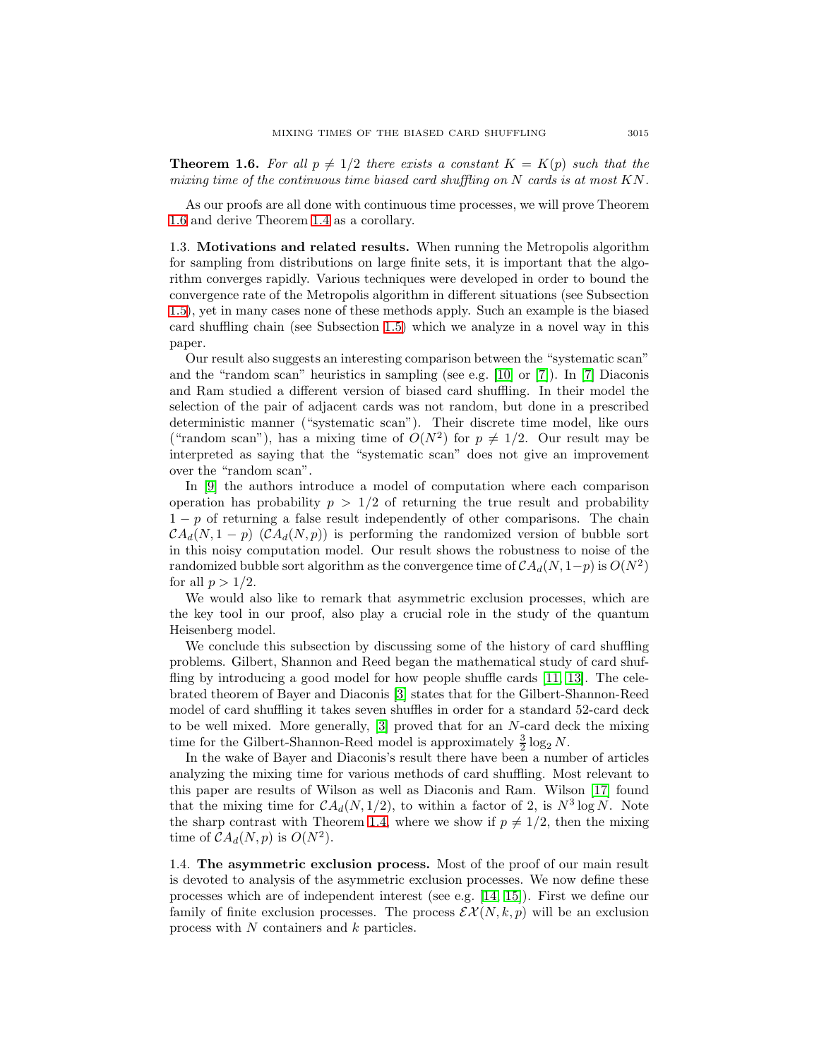**Theorem 1.6.** For all  $p \neq 1/2$  there exists a constant  $K = K(p)$  such that the *mixing time of the continuous time biased card shuffling on* N *cards is at most* KN*.*

As our proofs are all done with continuous time processes, we will prove Theorem [1.6](#page-1-0) and derive Theorem [1.4](#page-1-1) as a corollary.

1.3. **Motivations and related results.** When running the Metropolis algorithm for sampling from distributions on large finite sets, it is important that the algorithm converges rapidly. Various techniques were developed in order to bound the convergence rate of the Metropolis algorithm in different situations (see Subsection [1.5\)](#page-4-0), yet in many cases none of these methods apply. Such an example is the biased card shuffling chain (see Subsection [1.5\)](#page-4-0) which we analyze in a novel way in this paper.

Our result also suggests an interesting comparison between the "systematic scan" and the "random scan" heuristics in sampling (see e.g. [\[10\]](#page-16-4) or [\[7\]](#page-16-3)). In [\[7\]](#page-16-3) Diaconis and Ram studied a different version of biased card shuffling. In their model the selection of the pair of adjacent cards was not random, but done in a prescribed deterministic manner ("systematic scan"). Their discrete time model, like ours ("random scan"), has a mixing time of  $O(N^2)$  for  $p \neq 1/2$ . Our result may be interpreted as saying that the "systematic scan" does not give an improvement over the "random scan".

In [\[9\]](#page-16-5) the authors introduce a model of computation where each comparison operation has probability  $p > 1/2$  of returning the true result and probability  $1-p$  of returning a false result independently of other comparisons. The chain  $CA_d(N, 1-p)$  ( $CA_d(N, p)$ ) is performing the randomized version of bubble sort in this noisy computation model. Our result shows the robustness to noise of the randomized bubble sort algorithm as the convergence time of  $\mathcal{C}A_d(N, 1-p)$  is  $O(N^2)$ for all  $p > 1/2$ .

We would also like to remark that asymmetric exclusion processes, which are the key tool in our proof, also play a crucial role in the study of the quantum Heisenberg model.

We conclude this subsection by discussing some of the history of card shuffling problems. Gilbert, Shannon and Reed began the mathematical study of card shuffling by introducing a good model for how people shuffle cards [\[11,](#page-16-6) [13\]](#page-16-7). The celebrated theorem of Bayer and Diaconis [\[3\]](#page-15-1) states that for the Gilbert-Shannon-Reed model of card shuffling it takes seven shuffles in order for a standard 52-card deck to be well mixed. More generally, [\[3\]](#page-15-1) proved that for an N-card deck the mixing time for the Gilbert-Shannon-Reed model is approximately  $\frac{3}{2} \log_2 N$ .

In the wake of Bayer and Diaconis's result there have been a number of articles analyzing the mixing time for various methods of card shuffling. Most relevant to this paper are results of Wilson as well as Diaconis and Ram. Wilson [\[17\]](#page-16-8) found that the mixing time for  $CA_d(N, 1/2)$ , to within a factor of 2, is  $N^3 \log N$ . Note the sharp contrast with Theorem [1.4,](#page-1-1) where we show if  $p \neq 1/2$ , then the mixing time of  $CA_d(N, p)$  is  $O(N^2)$ .

1.4. **The asymmetric exclusion process.** Most of the proof of our main result is devoted to analysis of the asymmetric exclusion processes. We now define these processes which are of independent interest (see e.g. [\[14,](#page-16-9) [15\]](#page-16-10)). First we define our family of finite exclusion processes. The process  $\mathcal{EX}(N, k, p)$  will be an exclusion process with N containers and k particles.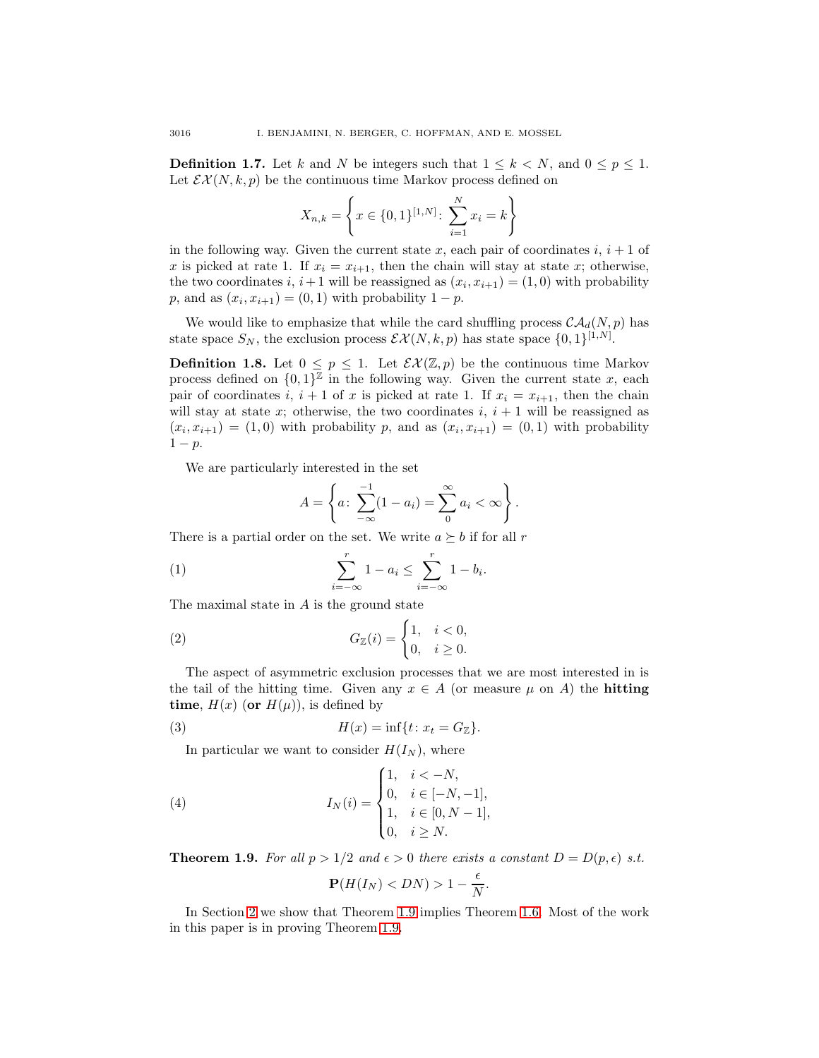**Definition 1.7.** Let k and N be integers such that  $1 \leq k \leq N$ , and  $0 \leq p \leq 1$ . Let  $\mathcal{E}\mathcal{X}(N,k,p)$  be the continuous time Markov process defined on

$$
X_{n,k} = \left\{ x \in \{0,1\}^{[1,N]} \colon \sum_{i=1}^{N} x_i = k \right\}
$$

in the following way. Given the current state x, each pair of coordinates  $i, i + 1$  of x is picked at rate 1. If  $x_i = x_{i+1}$ , then the chain will stay at state x; otherwise, the two coordinates i,  $i+1$  will be reassigned as  $(x_i, x_{i+1}) = (1,0)$  with probability p, and as  $(x_i, x_{i+1}) = (0, 1)$  with probability  $1 - p$ .

We would like to emphasize that while the card shuffling process  $\mathcal{CA}_d(N, p)$  has state space  $S_N$ , the exclusion process  $\mathcal{EX}(N, k, p)$  has state space  $\{0, 1\}^{[1,N]}$ .

**Definition 1.8.** Let  $0 \leq p \leq 1$ . Let  $\mathcal{EX}(\mathbb{Z}, p)$  be the continuous time Markov process defined on  $\{0,1\}^{\mathbb{Z}}$  in the following way. Given the current state x, each pair of coordinates i,  $i + 1$  of x is picked at rate 1. If  $x_i = x_{i+1}$ , then the chain will stay at state x; otherwise, the two coordinates  $i, i + 1$  will be reassigned as  $(x_i, x_{i+1}) = (1, 0)$  with probability p, and as  $(x_i, x_{i+1}) = (0, 1)$  with probability  $1-p$ .

We are particularly interested in the set

<span id="page-3-1"></span>
$$
A = \left\{ a \colon \sum_{-\infty}^{-1} (1 - a_i) = \sum_{0}^{\infty} a_i < \infty \right\}.
$$

There is a partial order on the set. We write  $a \succeq b$  if for all r

(1) 
$$
\sum_{i=-\infty}^{r} 1 - a_i \leq \sum_{i=-\infty}^{r} 1 - b_i.
$$

The maximal state in A is the ground state

(2) 
$$
G_{\mathbb{Z}}(i) = \begin{cases} 1, & i < 0, \\ 0, & i \ge 0. \end{cases}
$$

The aspect of asymmetric exclusion processes that we are most interested in is the tail of the hitting time. Given any  $x \in A$  (or measure  $\mu$  on A) the **hitting time**,  $H(x)$  (or  $H(\mu)$ ), is defined by

(3) 
$$
H(x) = \inf \{ t : x_t = G_{\mathbb{Z}} \}.
$$

In particular we want to consider  $H(I_N)$ , where

(4) 
$$
I_N(i) = \begin{cases} 1, & i < -N, \\ 0, & i \in [-N, -1], \\ 1, & i \in [0, N-1], \\ 0, & i \ge N. \end{cases}
$$

<span id="page-3-0"></span>**Theorem 1.9.** For all  $p > 1/2$  and  $\epsilon > 0$  there exists a constant  $D = D(p, \epsilon)$  s.t.

$$
\mathbf{P}(H(I_N) < DN) > 1 - \frac{\epsilon}{N}.
$$

In Section [2](#page-5-0) we show that Theorem [1.9](#page-3-0) implies Theorem [1.6.](#page-1-0) Most of the work in this paper is in proving Theorem [1.9.](#page-3-0)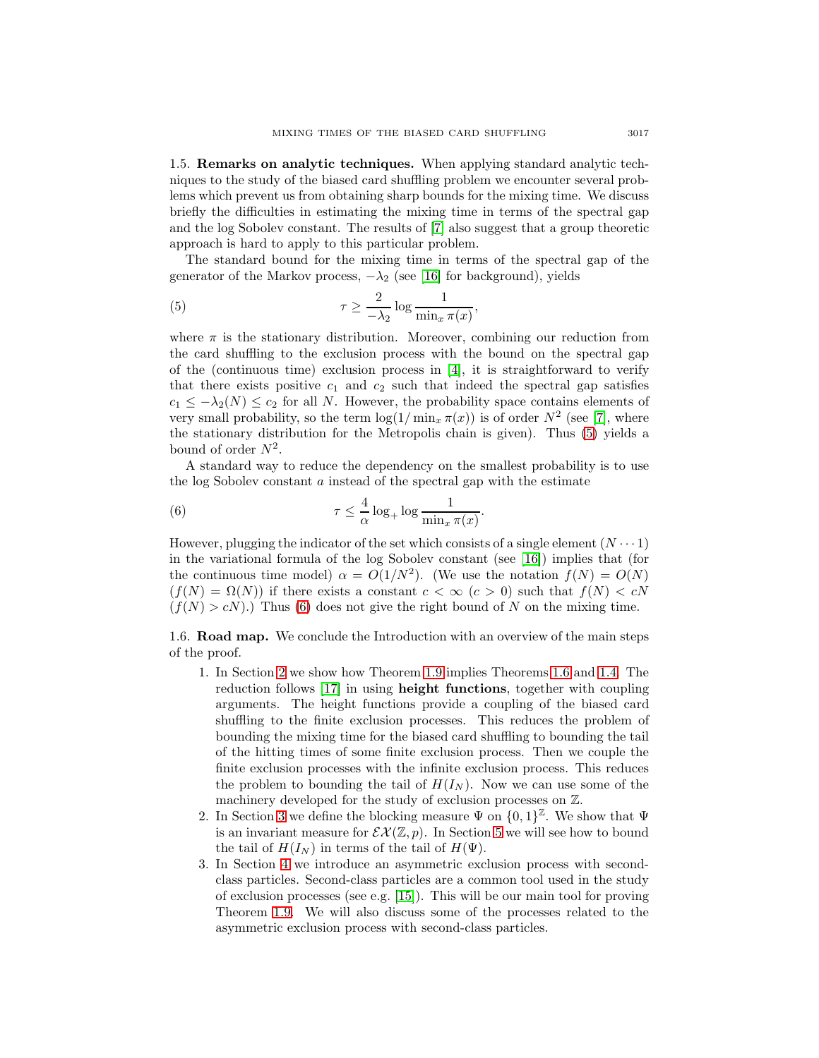<span id="page-4-0"></span>1.5. **Remarks on analytic techniques.** When applying standard analytic techniques to the study of the biased card shuffling problem we encounter several problems which prevent us from obtaining sharp bounds for the mixing time. We discuss briefly the difficulties in estimating the mixing time in terms of the spectral gap and the log Sobolev constant. The results of [\[7\]](#page-16-3) also suggest that a group theoretic approach is hard to apply to this particular problem.

The standard bound for the mixing time in terms of the spectral gap of the generator of the Markov process,  $-\lambda_2$  (see [\[16\]](#page-16-11) for background), yields

<span id="page-4-1"></span>(5) 
$$
\tau \geq \frac{2}{-\lambda_2} \log \frac{1}{\min_x \pi(x)},
$$

where  $\pi$  is the stationary distribution. Moreover, combining our reduction from the card shuffling to the exclusion process with the bound on the spectral gap of the (continuous time) exclusion process in  $[4]$ , it is straightforward to verify that there exists positive  $c_1$  and  $c_2$  such that indeed the spectral gap satisfies  $c_1 \leq -\lambda_2(N) \leq c_2$  for all N. However, the probability space contains elements of very small probability, so the term  $\log(1/\min_x \pi(x))$  is of order  $N^2$  (see [\[7\]](#page-16-3), where the stationary distribution for the Metropolis chain is given). Thus [\(5\)](#page-4-1) yields a bound of order  $N^2$ .

<span id="page-4-2"></span>A standard way to reduce the dependency on the smallest probability is to use the log Sobolev constant  $\alpha$  instead of the spectral gap with the estimate

(6) 
$$
\tau \leq \frac{4}{\alpha} \log_+ \log \frac{1}{\min_x \pi(x)}.
$$

However, plugging the indicator of the set which consists of a single element  $(N \cdots 1)$ in the variational formula of the log Sobolev constant (see [\[16\]](#page-16-11)) implies that (for the continuous time model)  $\alpha = O(1/N^2)$ . (We use the notation  $f(N) = O(N)$  $(f(N) = \Omega(N))$  if there exists a constant  $c < \infty$   $(c > 0)$  such that  $f(N) < cN$  $(f(N) > cN)$ . Thus [\(6\)](#page-4-2) does not give the right bound of N on the mixing time.

1.6. **Road map.** We conclude the Introduction with an overview of the main steps of the proof.

- 1. In Section [2](#page-5-0) we show how Theorem [1.9](#page-3-0) implies Theorems [1.6](#page-1-0) and [1.4.](#page-1-1) The reduction follows [\[17\]](#page-16-8) in using **height functions**, together with coupling arguments. The height functions provide a coupling of the biased card shuffling to the finite exclusion processes. This reduces the problem of bounding the mixing time for the biased card shuffling to bounding the tail of the hitting times of some finite exclusion process. Then we couple the finite exclusion processes with the infinite exclusion process. This reduces the problem to bounding the tail of  $H(I_N)$ . Now we can use some of the machinery developed for the study of exclusion processes on Z.
- 2. In Section [3](#page-7-0) we define the blocking measure  $\Psi$  on  $\{0,1\}^{\mathbb{Z}}$ . We show that  $\Psi$ is an invariant measure for  $\mathcal{E}\mathcal{X}(\mathbb{Z},p)$ . In Section [5](#page-10-0) we will see how to bound the tail of  $H(I_N)$  in terms of the tail of  $H(\Psi)$ .
- 3. In Section [4](#page-9-0) we introduce an asymmetric exclusion process with secondclass particles. Second-class particles are a common tool used in the study of exclusion processes (see e.g. [\[15\]](#page-16-10)). This will be our main tool for proving Theorem [1.9.](#page-3-0) We will also discuss some of the processes related to the asymmetric exclusion process with second-class particles.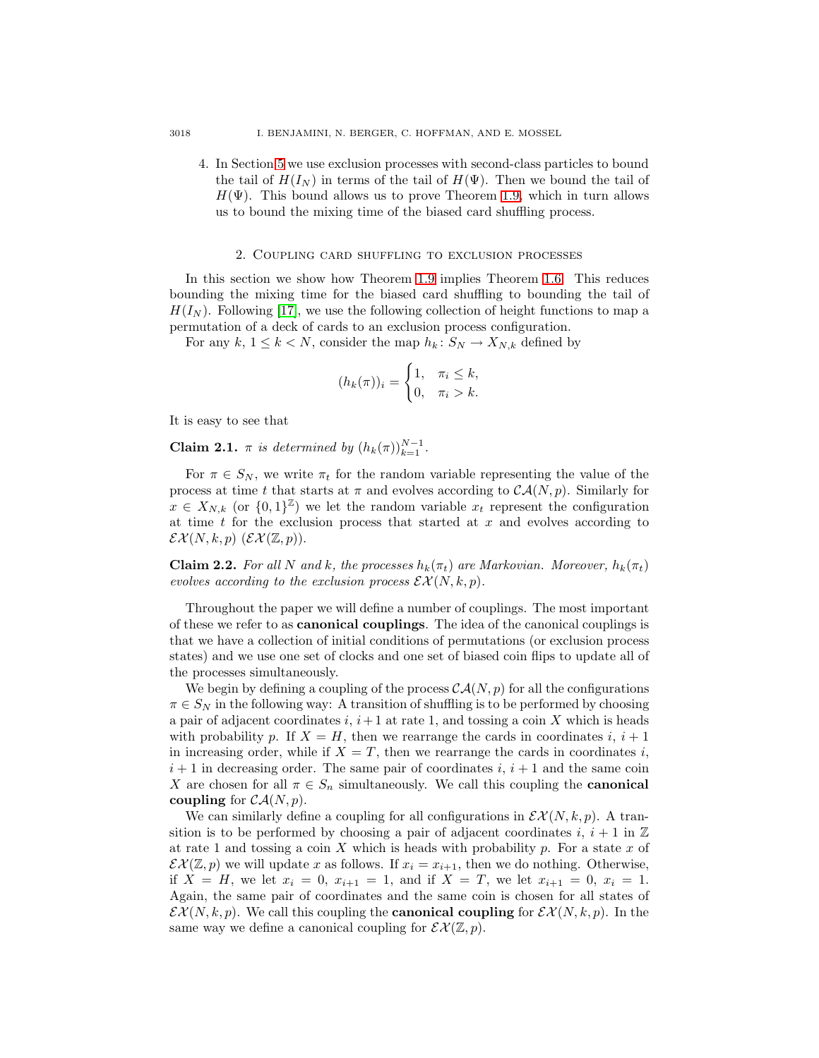4. In Section [5](#page-10-0) we use exclusion processes with second-class particles to bound the tail of  $H(I_N)$  in terms of the tail of  $H(\Psi)$ . Then we bound the tail of  $H(\Psi)$ . This bound allows us to prove Theorem [1.9,](#page-3-0) which in turn allows us to bound the mixing time of the biased card shuffling process.

# 2. Coupling card shuffling to exclusion processes

<span id="page-5-0"></span>In this section we show how Theorem [1.9](#page-3-0) implies Theorem [1.6.](#page-1-0) This reduces bounding the mixing time for the biased card shuffling to bounding the tail of  $H(I_N)$ . Following [\[17\]](#page-16-8), we use the following collection of height functions to map a permutation of a deck of cards to an exclusion process configuration.

For any k,  $1 \leq k \leq N$ , consider the map  $h_k \colon S_N \to X_{N,k}$  defined by

$$
(h_k(\pi))_i = \begin{cases} 1, & \pi_i \leq k, \\ 0, & \pi_i > k. \end{cases}
$$

<span id="page-5-1"></span>It is easy to see that

**Claim 2.1.**  $\pi$  *is determined by*  $(h_k(\pi))_{k=1}^{N-1}$ .

For  $\pi \in S_N$ , we write  $\pi_t$  for the random variable representing the value of the process at time t that starts at  $\pi$  and evolves according to  $\mathcal{CA}(N, p)$ . Similarly for  $x \in X_{N,k}$  (or  $\{0,1\}^{\mathbb{Z}}$ ) we let the random variable  $x_t$  represent the configuration at time  $t$  for the exclusion process that started at  $x$  and evolves according to  $\mathcal{E}\mathcal{X}(N,k,p)$  ( $\mathcal{E}\mathcal{X}(\mathbb{Z},p)$ ).

**Claim 2.2.** *For all* N *and* k, the processes  $h_k(\pi_t)$  are Markovian. Moreover,  $h_k(\pi_t)$ *evolves according to the exclusion process*  $\mathcal{E}\mathcal{X}(N,k,p)$ .

Throughout the paper we will define a number of couplings. The most important of these we refer to as **canonical couplings**. The idea of the canonical couplings is that we have a collection of initial conditions of permutations (or exclusion process states) and we use one set of clocks and one set of biased coin flips to update all of the processes simultaneously.

We begin by defining a coupling of the process  $\mathcal{CA}(N, p)$  for all the configurations  $\pi \in S_N$  in the following way: A transition of shuffling is to be performed by choosing a pair of adjacent coordinates  $i, i+1$  at rate 1, and tossing a coin X which is heads with probability p. If  $X = H$ , then we rearrange the cards in coordinates i,  $i + 1$ in increasing order, while if  $X = T$ , then we rearrange the cards in coordinates i,  $i+1$  in decreasing order. The same pair of coordinates  $i, i+1$  and the same coin X are chosen for all  $\pi \in S_n$  simultaneously. We call this coupling the **canonical coupling** for  $\mathcal{CA}(N, p)$ .

We can similarly define a coupling for all configurations in  $\mathcal{EK}(N,k,p)$ . A transition is to be performed by choosing a pair of adjacent coordinates i,  $i + 1$  in Z at rate 1 and tossing a coin X which is heads with probability  $p$ . For a state  $x$  of  $\mathcal{E}\mathcal{X}(\mathbb{Z},p)$  we will update x as follows. If  $x_i = x_{i+1}$ , then we do nothing. Otherwise, if  $X = H$ , we let  $x_i = 0$ ,  $x_{i+1} = 1$ , and if  $X = T$ , we let  $x_{i+1} = 0$ ,  $x_i = 1$ . Again, the same pair of coordinates and the same coin is chosen for all states of  $\mathcal{E}\mathcal{X}(N,k,p)$ . We call this coupling the **canonical coupling** for  $\mathcal{E}\mathcal{X}(N,k,p)$ . In the same way we define a canonical coupling for  $\mathcal{E}\mathcal{X}(\mathbb{Z},p)$ .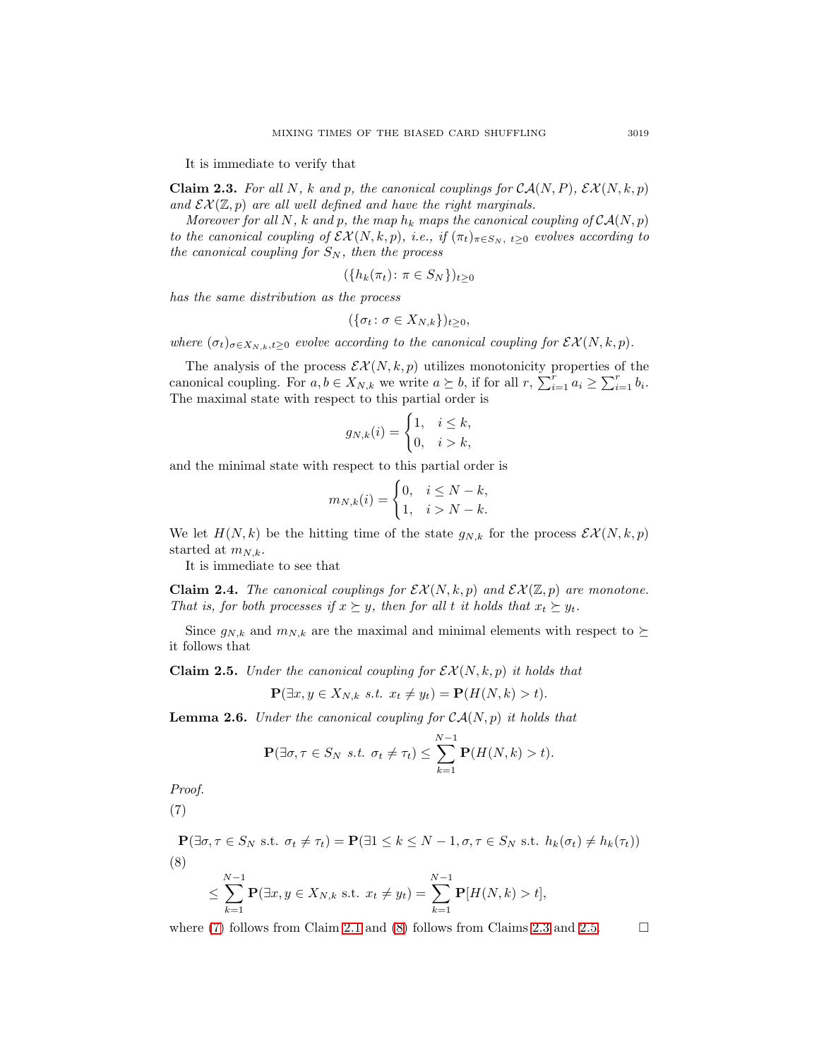It is immediate to verify that

<span id="page-6-2"></span>**Claim 2.3.** For all N, k and p, the canonical couplings for  $CA(N, P)$ ,  $\mathcal{EX}(N, k, p)$ and  $\mathcal{E}X(\mathbb{Z},p)$  are all well defined and have the right marginals.

*Moreover for all* N, k and p, the map  $h_k$  maps the canonical coupling of  $CA(N, p)$ *to the canonical coupling of*  $\mathcal{EX}(N, k, p)$ *, i.e., if*  $(\pi_t)_{\pi \in S_N}$ *, t*>0 *evolves according to the canonical coupling for*  $S_N$ *, then the process* 

$$
(\{h_k(\pi_t): \pi \in S_N\})_{t \ge 0}
$$

*has the same distribution as the process*

$$
(\{\sigma_t \colon \sigma \in X_{N,k}\})_{t \geq 0},
$$

*where*  $(\sigma_t)_{\sigma \in X_{N,k}}$ , $t \geq 0$  *evolve according to the canonical coupling for*  $\mathcal{EX}(N, k, p)$ *.* 

The analysis of the process  $\mathcal{EX}(N, k, p)$  utilizes monotonicity properties of the canonical coupling. For  $a, b \in X_{N,k}$  we write  $a \succeq b$ , if for all  $r, \sum_{i=1}^{r} a_i \geq \sum_{i=1}^{r} b_i$ . The maximal state with respect to this partial order is

$$
g_{N,k}(i) = \begin{cases} 1, & i \leq k, \\ 0, & i > k, \end{cases}
$$

and the minimal state with respect to this partial order is

$$
m_{N,k}(i) = \begin{cases} 0, & i \le N - k, \\ 1, & i > N - k. \end{cases}
$$

We let  $H(N, k)$  be the hitting time of the state  $g_{N,k}$  for the process  $\mathcal{EX}(N, k, p)$ started at  $m_{N,k}$ .

It is immediate to see that

**Claim 2.4.** *The canonical couplings for*  $\mathcal{EX}(N, k, p)$  *and*  $\mathcal{EX}(\mathbb{Z}, p)$  *are monotone. That is, for both processes if*  $x \geq y$ *, then for all t it holds that*  $x_t \geq y_t$ *.* 

<span id="page-6-3"></span>Since  $g_{N,k}$  and  $m_{N,k}$  are the maximal and minimal elements with respect to  $\succeq$ it follows that

**Claim 2.5.** *Under the canonical coupling for*  $\mathcal{EX}(N, k, p)$  *it holds that* 

$$
\mathbf{P}(\exists x, y \in X_{N,k} \text{ s.t. } x_t \neq y_t) = \mathbf{P}(H(N,k) > t).
$$

<span id="page-6-4"></span>**Lemma 2.6.** *Under the canonical coupling for*  $CA(N, p)$  *it holds that* 

$$
\mathbf{P}(\exists \sigma, \tau \in S_N \ s.t. \ \sigma_t \neq \tau_t) \leq \sum_{k=1}^{N-1} \mathbf{P}(H(N,k) > t).
$$

*Proof.*

<span id="page-6-0"></span>(7)

<span id="page-6-1"></span>
$$
\mathbf{P}(\exists \sigma, \tau \in S_N \text{ s.t. } \sigma_t \neq \tau_t) = \mathbf{P}(\exists 1 \leq k \leq N-1, \sigma, \tau \in S_N \text{ s.t. } h_k(\sigma_t) \neq h_k(\tau_t))
$$
\n(8)

$$
\leq \sum_{k=1}^{N-1} \mathbf{P}(\exists x, y \in X_{N,k} \text{ s.t. } x_t \neq y_t) = \sum_{k=1}^{N-1} \mathbf{P}[H(N,k) > t],
$$

where [\(7\)](#page-6-0) follows from Claim [2.1](#page-5-1) and [\(8\)](#page-6-1) follows from Claims [2.3](#page-6-2) and [2.5.](#page-6-3)  $\Box$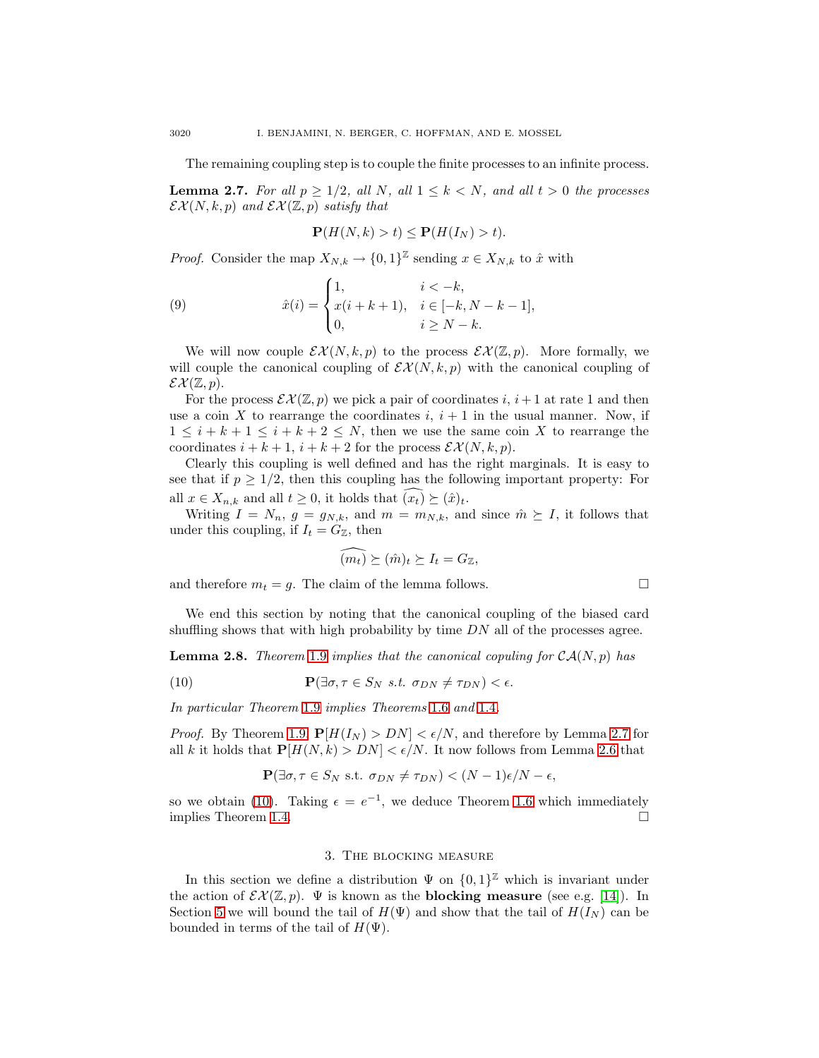The remaining coupling step is to couple the finite processes to an infinite process.

**Lemma 2.7.** *For all*  $p \geq 1/2$ *, all*  $N$ *, all*  $1 \leq k \leq N$ *, and all*  $t > 0$  *the processes*  $\mathcal{E}\mathcal{X}(N, k, p)$  and  $\mathcal{E}\mathcal{X}(\mathbb{Z}, p)$  *satisfy that* 

$$
\mathbf{P}(H(N,k) > t) \le \mathbf{P}(H(I_N) > t).
$$

*Proof.* Consider the map  $X_{N,k} \to \{0,1\}^{\mathbb{Z}}$  sending  $x \in X_{N,k}$  to  $\hat{x}$  with

(9) 
$$
\hat{x}(i) = \begin{cases} 1, & i < -k, \\ x(i+k+1), & i \in [-k, N-k-1], \\ 0, & i \ge N-k. \end{cases}
$$

We will now couple  $\mathcal{EX}(N, k, p)$  to the process  $\mathcal{EX}(\mathbb{Z}, p)$ . More formally, we will couple the canonical coupling of  $\mathcal{EX}(N, k, p)$  with the canonical coupling of  $\mathcal{E}\mathcal{X}(\mathbb{Z},p).$ 

For the process  $\mathcal{E}\mathcal{X}(\mathbb{Z},p)$  we pick a pair of coordinates i,  $i+1$  at rate 1 and then use a coin X to rearrange the coordinates  $i, i + 1$  in the usual manner. Now, if  $1 \leq i + k + 1 \leq i + k + 2 \leq N$ , then we use the same coin X to rearrange the coordinates  $i + k + 1$ ,  $i + k + 2$  for the process  $\mathcal{EX}(N, k, p)$ .

Clearly this coupling is well defined and has the right marginals. It is easy to see that if  $p \geq 1/2$ , then this coupling has the following important property: For all  $x \in X_{n,k}$  and all  $t \geq 0$ , it holds that  $(x_t) \succeq (\hat{x})_t$ .

Writing  $I = N_n$ ,  $g = g_{N,k}$ , and  $m = m_{N,k}$ , and since  $\hat{m} \succeq I$ , it follows that under this coupling, if  $I_t = G_{\mathbb{Z}}$ , then

$$
\widehat{(m_t)} \succeq (\hat{m})_t \succeq I_t = G_{\mathbb{Z}},
$$

and therefore  $m_t = g$ . The claim of the lemma follows.

We end this section by noting that the canonical coupling of the biased card shuffling shows that with high probability by time  $DN$  all of the processes agree.

**Lemma 2.8.** *Theorem* [1.9](#page-3-0) *implies that the canonical copuling for*  $CA(N, p)$  *has* 

(10) 
$$
\mathbf{P}(\exists \sigma, \tau \in S_N \text{ s.t. } \sigma_{DN} \neq \tau_{DN}) < \epsilon.
$$

*In particular Theorem* [1.9](#page-3-0) *implies Theorems* [1.6](#page-1-0) *and* [1.4](#page-1-1)*.*

*Proof.* By Theorem [1.9,](#page-3-0)  $P[H(I_N) > DN] < \epsilon/N$ , and therefore by Lemma [2.7](#page-7-1) for all k it holds that  $P[H(N, k) > DN] < \epsilon/N$ . It now follows from Lemma [2.6](#page-6-4) that

$$
\mathbf{P}(\exists \sigma, \tau \in S_N \text{ s.t. } \sigma_{DN} \neq \tau_{DN}) < (N-1)\epsilon/N - \epsilon,
$$

so we obtain [\(10\)](#page-7-2). Taking  $\epsilon = e^{-1}$ , we deduce Theorem [1.6](#page-1-0) which immediately implies Theorem [1.4.](#page-1-1)

### 3. The blocking measure

<span id="page-7-0"></span>In this section we define a distribution  $\Psi$  on  $\{0,1\}^{\mathbb{Z}}$  which is invariant under the action of  $\mathcal{E}\mathcal{X}(\mathbb{Z},p)$ .  $\Psi$  is known as the **blocking measure** (see e.g. [\[14\]](#page-16-9)). In Section [5](#page-10-0) we will bound the tail of  $H(\Psi)$  and show that the tail of  $H(I_N)$  can be bounded in terms of the tail of  $H(\Psi)$ .

<span id="page-7-1"></span>

<span id="page-7-2"></span>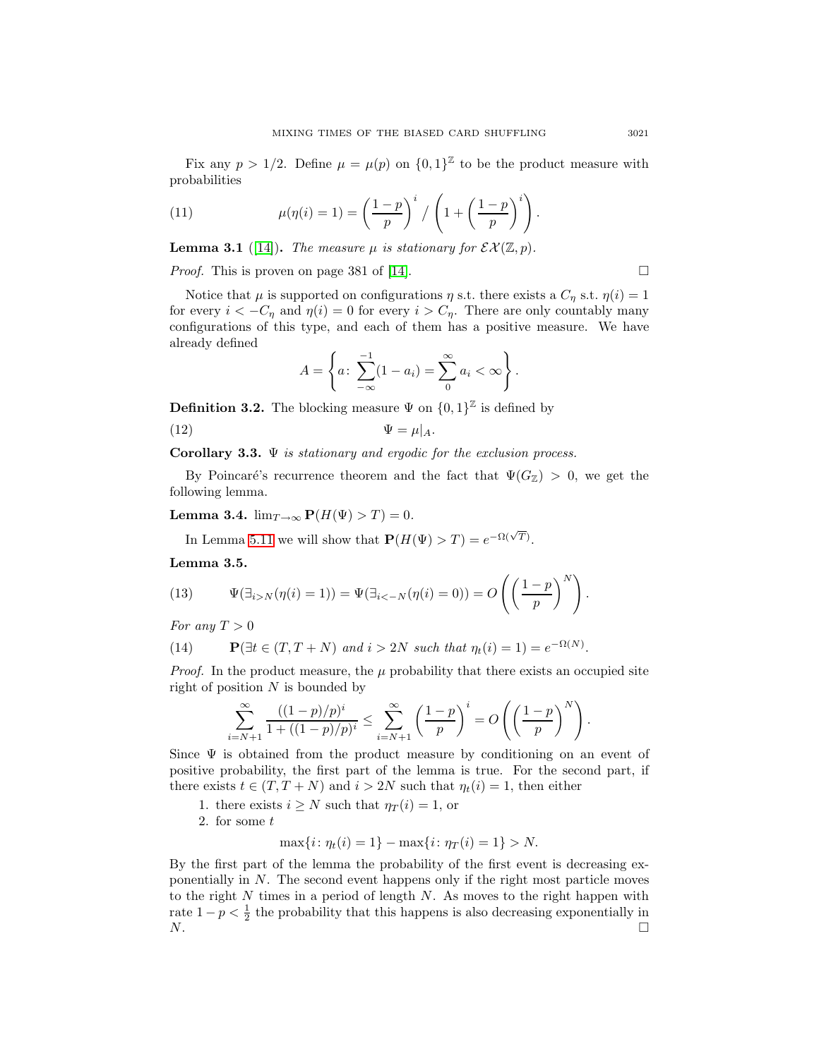Fix any  $p > 1/2$ . Define  $\mu = \mu(p)$  on  $\{0, 1\}^{\mathbb{Z}}$  to be the product measure with probabilities

(11) 
$$
\mu(\eta(i) = 1) = \left(\frac{1-p}{p}\right)^i / \left(1 + \left(\frac{1-p}{p}\right)^i\right).
$$

**Lemma 3.1** ([\[14\]](#page-16-9)). *The measure*  $\mu$  *is stationary for*  $\mathcal{E}\mathcal{X}(\mathbb{Z},p)$ *.* 

*Proof.* This is proven on page 381 of [\[14\]](#page-16-9).  $\Box$ 

Notice that  $\mu$  is supported on configurations  $\eta$  s.t. there exists a  $C_{\eta}$  s.t.  $\eta(i)=1$ for every  $i < -C_{\eta}$  and  $\eta(i) = 0$  for every  $i > C_{\eta}$ . There are only countably many configurations of this type, and each of them has a positive measure. We have already defined

$$
A = \left\{ a \colon \sum_{-\infty}^{-1} (1 - a_i) = \sum_{0}^{\infty} a_i < \infty \right\}.
$$

**Definition 3.2.** The blocking measure  $\Psi$  on  $\{0,1\}^{\mathbb{Z}}$  is defined by

$$
\Psi = \mu|_A.
$$

**Corollary 3.3.** Ψ *is stationary and ergodic for the exclusion process.*

<span id="page-8-1"></span>By Poincaré's recurrence theorem and the fact that  $\Psi(G_{\mathbb{Z}}) > 0$ , we get the following lemma.

**Lemma 3.4.**  $\lim_{T\to\infty}$   $\mathbf{P}(H(\Psi) > T) = 0$ .

In Lemma [5.11](#page-14-0) we will show that  $\mathbf{P}(H(\Psi) > T) = e^{-\Omega(\sqrt{T})}$ .

<span id="page-8-2"></span><span id="page-8-0"></span>**Lemma 3.5.**

(13) 
$$
\Psi(\exists_{i>N}(\eta(i)=1)) = \Psi(\exists_{i<-N}(\eta(i)=0)) = O\left(\left(\frac{1-p}{p}\right)^N\right).
$$

*For any*  $T > 0$ 

(14) 
$$
\mathbf{P}(\exists t \in (T, T + N) \text{ and } i > 2N \text{ such that } \eta_t(i) = 1) = e^{-\Omega(N)}.
$$

*Proof.* In the product measure, the  $\mu$  probability that there exists an occupied site right of position  $N$  is bounded by

$$
\sum_{i=N+1}^{\infty} \frac{((1-p)/p)^i}{1+((1-p)/p)^i} \le \sum_{i=N+1}^{\infty} \left(\frac{1-p}{p}\right)^i = O\left(\left(\frac{1-p}{p}\right)^N\right).
$$

Since  $\Psi$  is obtained from the product measure by conditioning on an event of positive probability, the first part of the lemma is true. For the second part, if there exists  $t \in (T, T + N)$  and  $i > 2N$  such that  $\eta_t(i) = 1$ , then either

- 1. there exists  $i \geq N$  such that  $\eta_T(i) = 1$ , or
- 2. for some  $t$

$$
\max\{i: \eta_t(i) = 1\} - \max\{i: \eta_T(i) = 1\} > N.
$$

By the first part of the lemma the probability of the first event is decreasing exponentially in N. The second event happens only if the right most particle moves to the right  $N$  times in a period of length  $N$ . As moves to the right happen with rate  $1 - p < \frac{1}{2}$  the probability that this happens is also decreasing exponentially in  $N$ .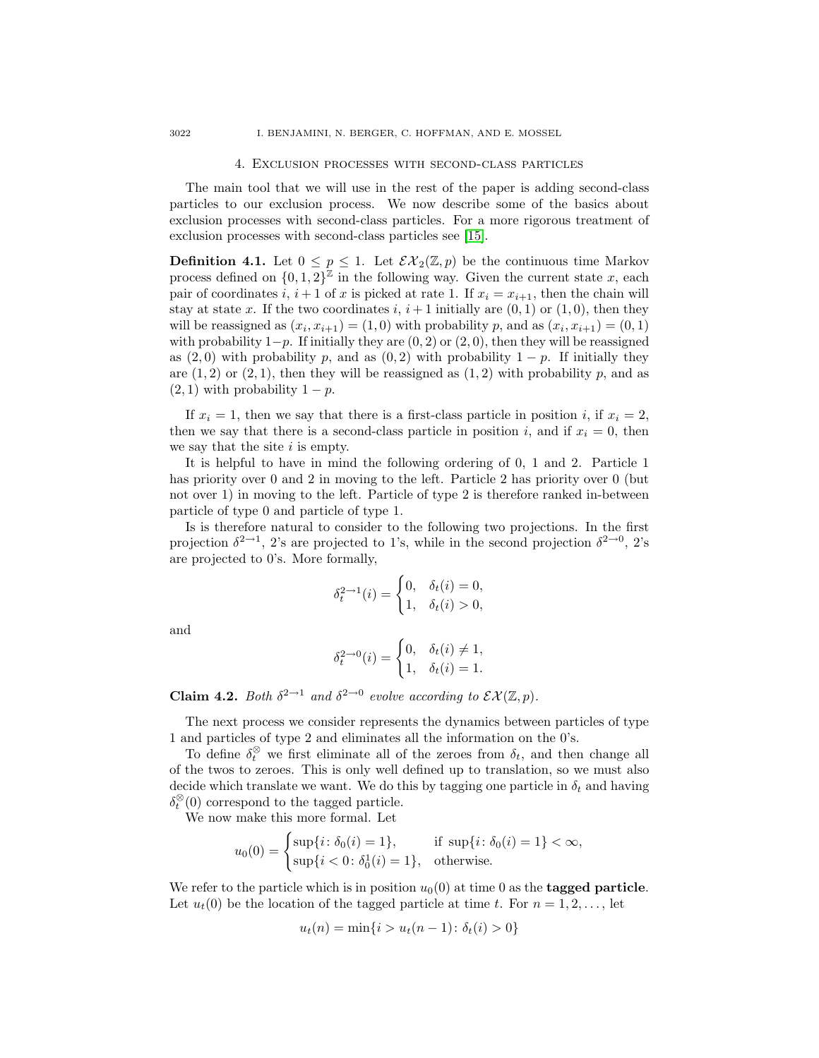### 4. Exclusion processes with second-class particles

The main tool that we will use in the rest of the paper is adding second-class particles to our exclusion process. We now describe some of the basics about exclusion processes with second-class particles. For a more rigorous treatment of exclusion processes with second-class particles see [\[15\]](#page-16-10).

**Definition 4.1.** Let  $0 \leq p \leq 1$ . Let  $\mathcal{EX}_2(\mathbb{Z}, p)$  be the continuous time Markov process defined on  $\{0, 1, 2\}^{\mathbb{Z}}$  in the following way. Given the current state x, each pair of coordinates i,  $i + 1$  of x is picked at rate 1. If  $x_i = x_{i+1}$ , then the chain will stay at state x. If the two coordinates i,  $i + 1$  initially are  $(0, 1)$  or  $(1, 0)$ , then they will be reassigned as  $(x_i, x_{i+1}) = (1, 0)$  with probability p, and as  $(x_i, x_{i+1}) = (0, 1)$ with probability  $1-p$ . If initially they are  $(0, 2)$  or  $(2, 0)$ , then they will be reassigned as  $(2, 0)$  with probability p, and as  $(0, 2)$  with probability  $1 - p$ . If initially they are  $(1, 2)$  or  $(2, 1)$ , then they will be reassigned as  $(1, 2)$  with probability p, and as  $(2, 1)$  with probability  $1 - p$ .

If  $x_i = 1$ , then we say that there is a first-class particle in position i, if  $x_i = 2$ , then we say that there is a second-class particle in position i, and if  $x_i = 0$ , then we say that the site  $i$  is empty.

It is helpful to have in mind the following ordering of 0, 1 and 2. Particle 1 has priority over 0 and 2 in moving to the left. Particle 2 has priority over 0 (but not over 1) in moving to the left. Particle of type 2 is therefore ranked in-between particle of type 0 and particle of type 1.

Is is therefore natural to consider to the following two projections. In the first projection  $\delta^{2\to 1}$ , 2's are projected to 1's, while in the second projection  $\delta^{2\to 0}$ , 2's are projected to 0's. More formally,

$$
\delta_t^{2 \to 1}(i) = \begin{cases} 0, & \delta_t(i) = 0, \\ 1, & \delta_t(i) > 0, \end{cases}
$$

and

$$
\delta_t^{2 \to 0}(i) = \begin{cases} 0, & \delta_t(i) \neq 1, \\ 1, & \delta_t(i) = 1. \end{cases}
$$

**Claim 4.2.** *Both*  $\delta^{2\to1}$  *and*  $\delta^{2\to0}$  *evolve according to*  $\mathcal{E}\mathcal{X}(\mathbb{Z},p)$ *.* 

The next process we consider represents the dynamics between particles of type 1 and particles of type 2 and eliminates all the information on the 0's.

To define  $\delta_t^{\otimes}$  we first eliminate all of the zeroes from  $\delta_t$ , and then change all of the twos to zeroes. This is only well defined up to translation, so we must also decide which translate we want. We do this by tagging one particle in  $\delta_t$  and having  $\delta_t^{\otimes}(0)$  correspond to the tagged particle.

We now make this more formal. Let

$$
u_0(0) = \begin{cases} \sup\{i \colon \delta_0(i) = 1\}, & \text{if } \sup\{i \colon \delta_0(i) = 1\} < \infty, \\ \sup\{i < 0 \colon \delta_0^1(i) = 1\}, & \text{otherwise.} \end{cases}
$$

We refer to the particle which is in position  $u_0(0)$  at time 0 as the **tagged particle**. Let  $u_t(0)$  be the location of the tagged particle at time t. For  $n = 1, 2, \ldots$ , let

$$
u_t(n) = \min\{i > u_t(n-1) : \delta_t(i) > 0\}
$$

<span id="page-9-0"></span>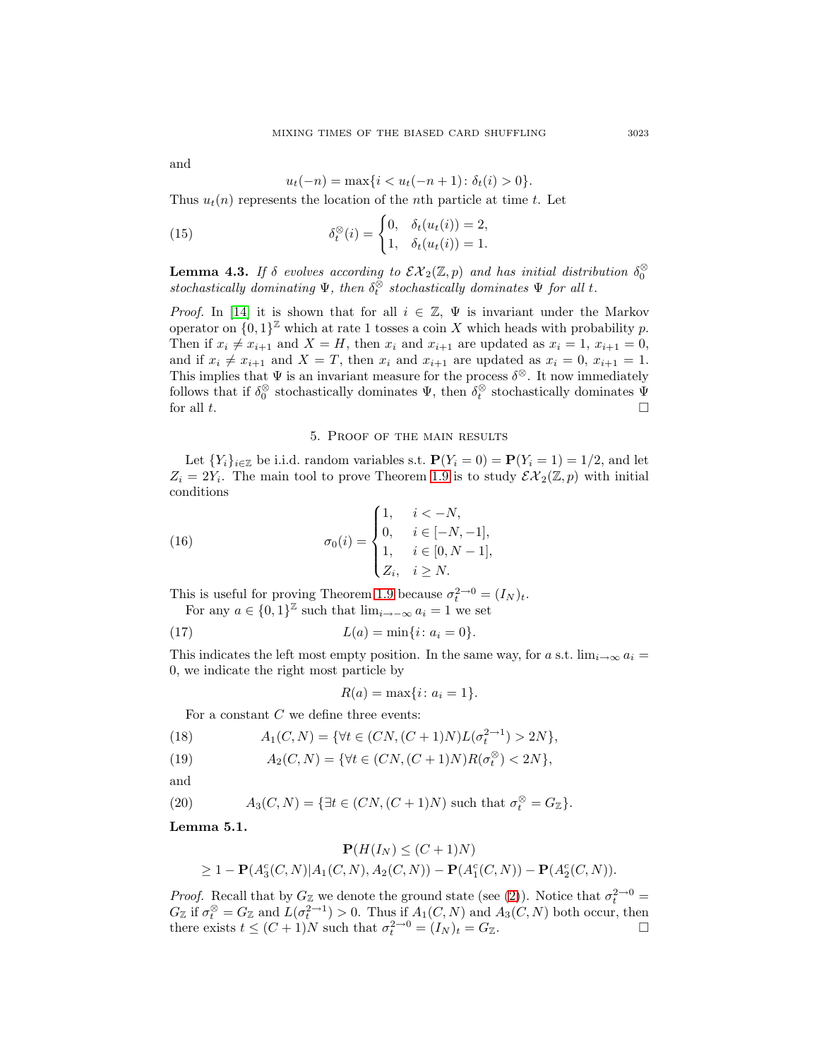and

$$
u_t(-n) = \max\{i < u_t(-n+1) \colon \delta_t(i) > 0\}.
$$

Thus  $u_t(n)$  represents the location of the *n*th particle at time t. Let

(15) 
$$
\delta_t^{\otimes}(i) = \begin{cases} 0, & \delta_t(u_t(i)) = 2, \\ 1, & \delta_t(u_t(i)) = 1. \end{cases}
$$

<span id="page-10-1"></span>**Lemma 4.3.** *If*  $\delta$  *evolves according to*  $\mathcal{EX}_2(\mathbb{Z}, p)$  *and has initial distribution*  $\delta_0^{\otimes}$ stochastically dominating  $\Psi$ , then  $\delta_t^{\otimes}$  stochastically dominates  $\Psi$  for all t.

*Proof.* In [\[14\]](#page-16-9) it is shown that for all  $i \in \mathbb{Z}$ ,  $\Psi$  is invariant under the Markov operator on  $\{0,1\}^{\mathbb{Z}}$  which at rate 1 tosses a coin X which heads with probability p. Then if  $x_i \neq x_{i+1}$  and  $X = H$ , then  $x_i$  and  $x_{i+1}$  are updated as  $x_i = 1$ ,  $x_{i+1} = 0$ , and if  $x_i \neq x_{i+1}$  and  $X = T$ , then  $x_i$  and  $x_{i+1}$  are updated as  $x_i = 0$ ,  $x_{i+1} = 1$ . This implies that  $\Psi$  is an invariant measure for the process  $\delta^{\otimes}$ . It now immediately follows that if  $\delta_0^{\otimes}$  stochastically dominates  $\Psi$ , then  $\delta_t^{\otimes}$  stochastically dominates  $\Psi$ for all  $t$ .

#### 5. Proof of the main results

<span id="page-10-0"></span>Let  ${Y_i}_{i \in \mathbb{Z}}$  be i.i.d. random variables s.t.  $\mathbf{P}(Y_i = 0) = \mathbf{P}(Y_i = 1) = 1/2$ , and let  $Z_i = 2Y_i$ . The main tool to prove Theorem [1.9](#page-3-0) is to study  $\mathcal{EX}_2(\mathbb{Z}, p)$  with initial conditions

(16) 
$$
\sigma_0(i) = \begin{cases} 1, & i < -N, \\ 0, & i \in [-N, -1], \\ 1, & i \in [0, N-1], \\ Z_i, & i \ge N. \end{cases}
$$

This is useful for proving Theorem [1.9](#page-3-0) because  $\sigma_t^{2\to 0} = (I_N)_t$ . For any  $a \in \{0,1\}^{\mathbb{Z}}$  such that  $\lim_{i\to-\infty} a_i = 1$  we set

(17) 
$$
L(a) = \min\{i \colon a_i = 0\}.
$$

This indicates the left most empty position. In the same way, for a s.t.  $\lim_{i\to\infty} a_i =$ 0, we indicate the right most particle by

$$
R(a) = \max\{i \colon a_i = 1\}.
$$

For a constant  $C$  we define three events:

(18) 
$$
A_1(C, N) = \{ \forall t \in (CN, (C+1)N)L(\sigma_t^{2 \to 1}) > 2N \},
$$

(19) 
$$
A_2(C, N) = \{ \forall t \in (CN, (C+1)N)R(\sigma_t^{\otimes}) < 2N \},
$$

and

<span id="page-10-2"></span>(20) 
$$
A_3(C,N) = \{ \exists t \in (CN, (C+1)N) \text{ such that } \sigma_t^{\otimes} = G_{\mathbb{Z}} \}.
$$

**Lemma 5.1.**

$$
\mathbf{P}(H(I_N) \le (C+1)N)
$$
  
\n
$$
\ge 1 - \mathbf{P}(A_3^c(C, N)|A_1(C, N), A_2(C, N)) - \mathbf{P}(A_1^c(C, N)) - \mathbf{P}(A_2^c(C, N)).
$$

*Proof.* Recall that by  $G_{\mathbb{Z}}$  we denote the ground state (see [\(2\)](#page-3-1)). Notice that  $\sigma_t^{2\to 0}$  =  $G_{\mathbb{Z}}$  if  $\sigma_t^{\otimes} = G_{\mathbb{Z}}$  and  $L(\sigma_t^{2\to 1}) > 0$ . Thus if  $A_1(C, N)$  and  $A_3(C, N)$  both occur, then there exists  $t \le (C+1)N$  such that  $\sigma_t^{2\to 0} = (I_N)_t = G_{\mathbb{Z}}$ .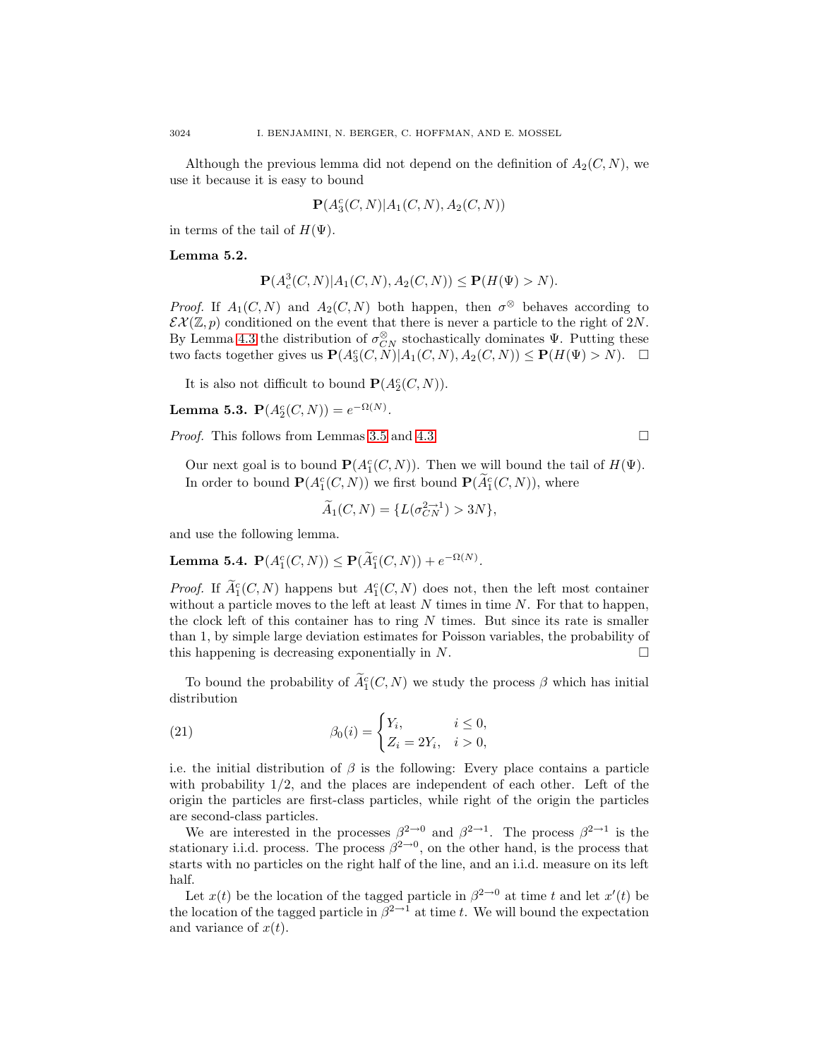Although the previous lemma did not depend on the definition of  $A_2(C, N)$ , we use it because it is easy to bound

$$
\mathbf{P}(A_3^c(C,N)|A_1(C,N),A_2(C,N))
$$

<span id="page-11-0"></span>in terms of the tail of  $H(\Psi)$ .

# **Lemma 5.2.**

$$
\mathbf{P}(A_c^3(C, N)|A_1(C, N), A_2(C, N)) \le \mathbf{P}(H(\Psi) > N).
$$

*Proof.* If  $A_1(C, N)$  and  $A_2(C, N)$  both happen, then  $\sigma^{\otimes}$  behaves according to  $\mathcal{E}\mathcal{X}(\mathbb{Z},p)$  conditioned on the event that there is never a particle to the right of  $2N$ . By Lemma [4.3](#page-10-1) the distribution of  $\sigma_{CN}^{\otimes}$  stochastically dominates  $\Psi$ . Putting these two facts together gives us  $\mathbf{P}(A_3^c(C, N)|A_1(C, N), A_2(C, N)) \leq \mathbf{P}(H(\Psi) > N).$ 

It is also not difficult to bound  $\mathbf{P}(A_2^c(C, N))$ .

<span id="page-11-1"></span>**Lemma 5.3.**  $P(A_2^c(C, N)) = e^{-\Omega(N)}$ .

*Proof.* This follows from Lemmas [3.5](#page-8-0) and [4.3.](#page-10-1) □

Our next goal is to bound  $\mathbf{P}(A_1^c(C, N))$ . Then we will bound the tail of  $H(\Psi)$ . In order to bound  $\mathbf{P}(A_1^c(C, N))$  we first bound  $\mathbf{P}(\widetilde{A}_1^c(C, N))$ , where

$$
\widetilde{A}_1(C,N) = \{ L(\sigma_{CN}^{2\to 1}) > 3N \},\
$$

<span id="page-11-2"></span>and use the following lemma.

**Lemma 5.4.**  $P(A_1^c(C, N)) \leq P(\widetilde{A}_1^c(C, N)) + e^{-\Omega(N)}$ .

*Proof.* If  $\widetilde{A}^c_1(C, N)$  happens but  $A^c_1(C, N)$  does not, then the left most container without a particle moves to the left at least  $N$  times in time  $N$ . For that to happen, the clock left of this container has to ring  $N$  times. But since its rate is smaller than 1, by simple large deviation estimates for Poisson variables, the probability of this happening is decreasing exponentially in  $N$ .

To bound the probability of  $\tilde{A}^c_1(C, N)$  we study the process  $\beta$  which has initial distribution

(21) 
$$
\beta_0(i) = \begin{cases} Y_i, & i \leq 0, \\ Z_i = 2Y_i, & i > 0, \end{cases}
$$

i.e. the initial distribution of  $\beta$  is the following: Every place contains a particle with probability  $1/2$ , and the places are independent of each other. Left of the origin the particles are first-class particles, while right of the origin the particles are second-class particles.

We are interested in the processes  $\beta^{2\to 0}$  and  $\beta^{2\to 1}$ . The process  $\beta^{2\to 1}$  is the stationary i.i.d. process. The process  $\beta^{2\to 0}$ , on the other hand, is the process that starts with no particles on the right half of the line, and an i.i.d. measure on its left half.

Let  $x(t)$  be the location of the tagged particle in  $\beta^{2\to 0}$  at time t and let  $x'(t)$  be the location of the tagged particle in  $\beta^{2\to 1}$  at time t. We will bound the expectation and variance of  $x(t)$ .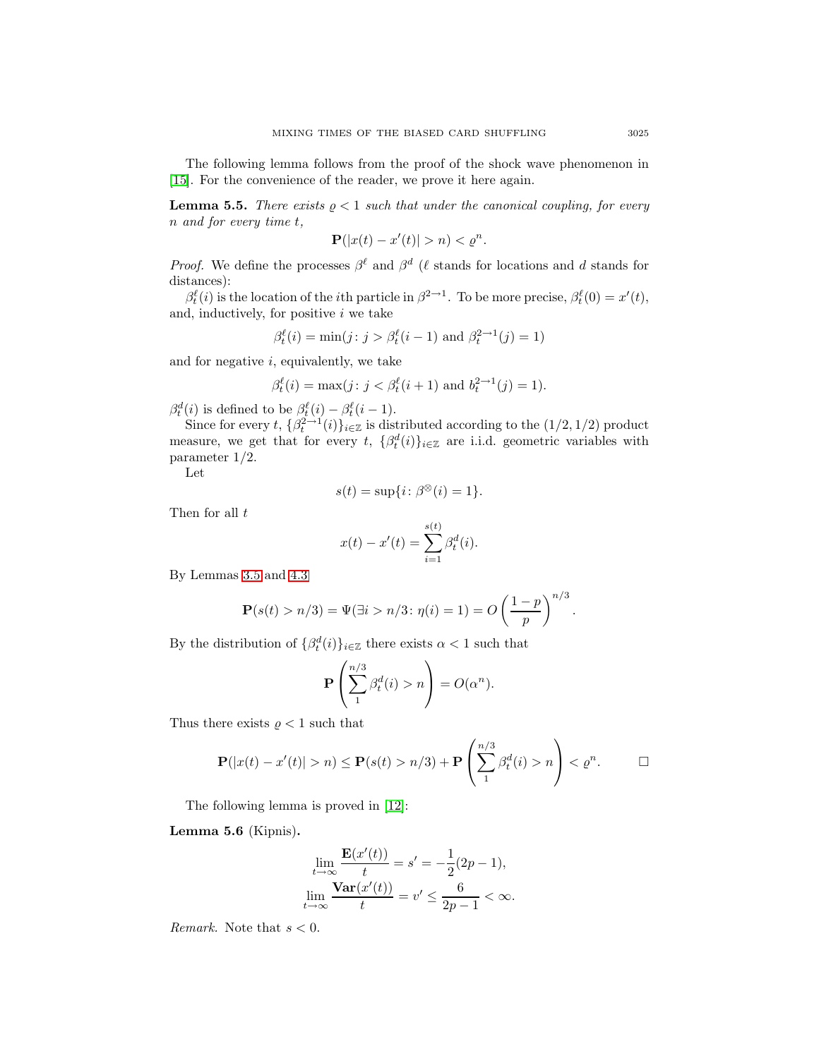<span id="page-12-1"></span>The following lemma follows from the proof of the shock wave phenomenon in [\[15\]](#page-16-10). For the convenience of the reader, we prove it here again.

**Lemma 5.5.** *There exists*  $\varrho < 1$  *such that under the canonical coupling, for every* n *and for every time* t*,*

$$
\mathbf{P}(|x(t) - x'(t)| > n) < \varrho^n.
$$

*Proof.* We define the processes  $\beta^{\ell}$  and  $\beta^{d}$  ( $\ell$  stands for locations and d stands for distances):

 $\beta_t^{\ell}(i)$  is the location of the *i*th particle in  $\beta^{2\to 1}$ . To be more precise,  $\beta_t^{\ell}(0) = x'(t)$ , and, inductively, for positive  $i$  we take

$$
\beta_t^{\ell}(i) = \min(j : j > \beta_t^{\ell}(i-1) \text{ and } \beta_t^{2 \to 1}(j) = 1)
$$

and for negative  $i$ , equivalently, we take

$$
\beta_t^{\ell}(i) = \max(j \colon j < \beta_t^{\ell}(i+1) \text{ and } b_t^{2 \to 1}(j) = 1).
$$

 $\beta_t^d(i)$  is defined to be  $\beta_t^{\ell}(i) - \beta_t^{\ell}(i-1)$ .

Since for every t,  $\{\beta_t^{2\to1}(i)\}_{i\in\mathbb{Z}}$  is distributed according to the  $(1/2, 1/2)$  product measure, we get that for every t,  $\{\beta_t^d(i)\}_{i\in\mathbb{Z}}$  are i.i.d. geometric variables with parameter 1/2.

Let

$$
s(t) = \sup\{i : \beta^{\otimes}(i) = 1\}.
$$

Then for all  $t$ 

$$
x(t) - x'(t) = \sum_{i=1}^{s(t)} \beta_t^d(i).
$$

By Lemmas [3.5](#page-8-0) and [4.3](#page-10-1)

$$
\mathbf{P}(s(t) > n/3) = \Psi(\exists i > n/3 : \eta(i) = 1) = O\left(\frac{1-p}{p}\right)^{n/3}.
$$

By the distribution of  $\{\beta_t^d(i)\}_{i\in\mathbb{Z}}$  there exists  $\alpha < 1$  such that

$$
\mathbf{P}\left(\sum_{1}^{n/3}\beta_t^d(i) > n\right) = O(\alpha^n).
$$

Thus there exists  $\rho < 1$  such that

$$
\mathbf{P}(|x(t) - x'(t)| > n) \le \mathbf{P}(s(t) > n/3) + \mathbf{P}\left(\sum_{1}^{n/3} \beta_t^d(i) > n\right) < \varrho^n. \qquad \Box
$$

The following lemma is proved in [\[12\]](#page-16-12):

<span id="page-12-0"></span>**Lemma 5.6** (Kipnis)**.**

$$
\lim_{t \to \infty} \frac{\mathbf{E}(x'(t))}{t} = s' = -\frac{1}{2}(2p - 1),
$$
  

$$
\lim_{t \to \infty} \frac{\mathbf{Var}(x'(t))}{t} = v' \le \frac{6}{2p - 1} < \infty.
$$

*Remark.* Note that  $s < 0$ .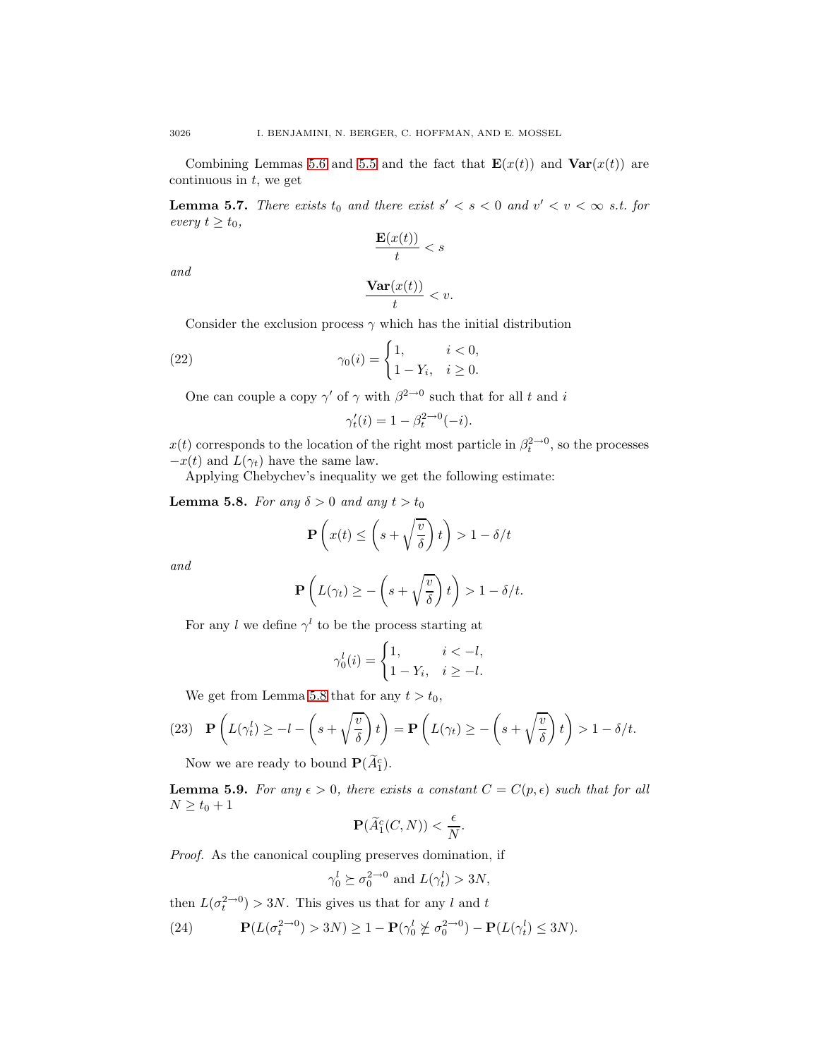<span id="page-13-4"></span>Combining Lemmas [5.6](#page-12-0) and [5.5](#page-12-1) and the fact that  $\mathbf{E}(x(t))$  and  $\mathbf{Var}(x(t))$  are continuous in  $t$ , we get

**Lemma 5.7.** *There exists*  $t_0$  *and there exist*  $s' < s < 0$  *and*  $v' < v < \infty$  *s.t. for every*  $t \geq t_0$ *,* 

$$
\frac{\mathbf{E}(x(t))}{t} < s
$$

*and*

$$
\frac{\mathbf{Var}(x(t))}{t} < v.
$$

Consider the exclusion process  $\gamma$  which has the initial distribution

(22) 
$$
\gamma_0(i) = \begin{cases} 1, & i < 0, \\ 1 - Y_i, & i \ge 0. \end{cases}
$$

One can couple a copy  $\gamma'$  of  $\gamma$  with  $\beta^{2\to 0}$  such that for all t and i

$$
\gamma_t'(i) = 1 - \beta_t^{2 \to 0}(-i).
$$

 $x(t)$  corresponds to the location of the right most particle in  $\beta_t^{2\to 0}$ , so the processes  $-x(t)$  and  $L(\gamma_t)$  have the same law.

Applying Chebychev's inequality we get the following estimate:

<span id="page-13-0"></span>**Lemma 5.8.** *For any*  $\delta > 0$  *and any*  $t > t_0$ 

$$
\mathbf{P}\left(x(t) \le \left(s + \sqrt{\frac{v}{\delta}}\right)t\right) > 1 - \delta/t
$$

*and*

$$
\mathbf{P}\left(L(\gamma_t) \geq -\left(s+\sqrt{\frac{v}{\delta}}\right)t\right) > 1-\delta/t.
$$

For any l we define  $\gamma^l$  to be the process starting at

<span id="page-13-1"></span>
$$
\gamma_0^l(i) = \begin{cases} 1, & i < -l, \\ 1 - Y_i, & i \ge -l. \end{cases}
$$

We get from Lemma [5.8](#page-13-0) that for any  $t > t_0$ ,

$$
(23)\quad \mathbf{P}\left(L(\gamma_t^l)\geq -l-\left(s+\sqrt{\frac{v}{\delta}}\right)t\right)=\mathbf{P}\left(L(\gamma_t)\geq -\left(s+\sqrt{\frac{v}{\delta}}\right)t\right)>1-\delta/t.
$$

Now we are ready to bound  $\mathbf{P}(\widetilde{A}_1^c)$ .

<span id="page-13-3"></span>**Lemma 5.9.** *For any*  $\epsilon > 0$ *, there exists a constant*  $C = C(p, \epsilon)$  *such that for all*  $N \ge t_0 + 1$ 

$$
\mathbf{P}(\widetilde{A}_1^c(C,N)) < \frac{\epsilon}{N}.
$$

*Proof.* As the canonical coupling preserves domination, if

<span id="page-13-2"></span>
$$
\gamma_0^l \succeq \sigma_0^{2 \to 0}
$$
 and  $L(\gamma_t^l) > 3N$ ,

then  $L(\sigma_t^{2\to 0}) > 3N$ . This gives us that for any l and t

(24)  $\mathbf{P}(L(\sigma_t^{2\to 0}) > 3N) \ge 1 - \mathbf{P}(\gamma_0^l \not\ge \sigma_0^{2\to 0}) - \mathbf{P}(L(\gamma_t^l) \le 3N).$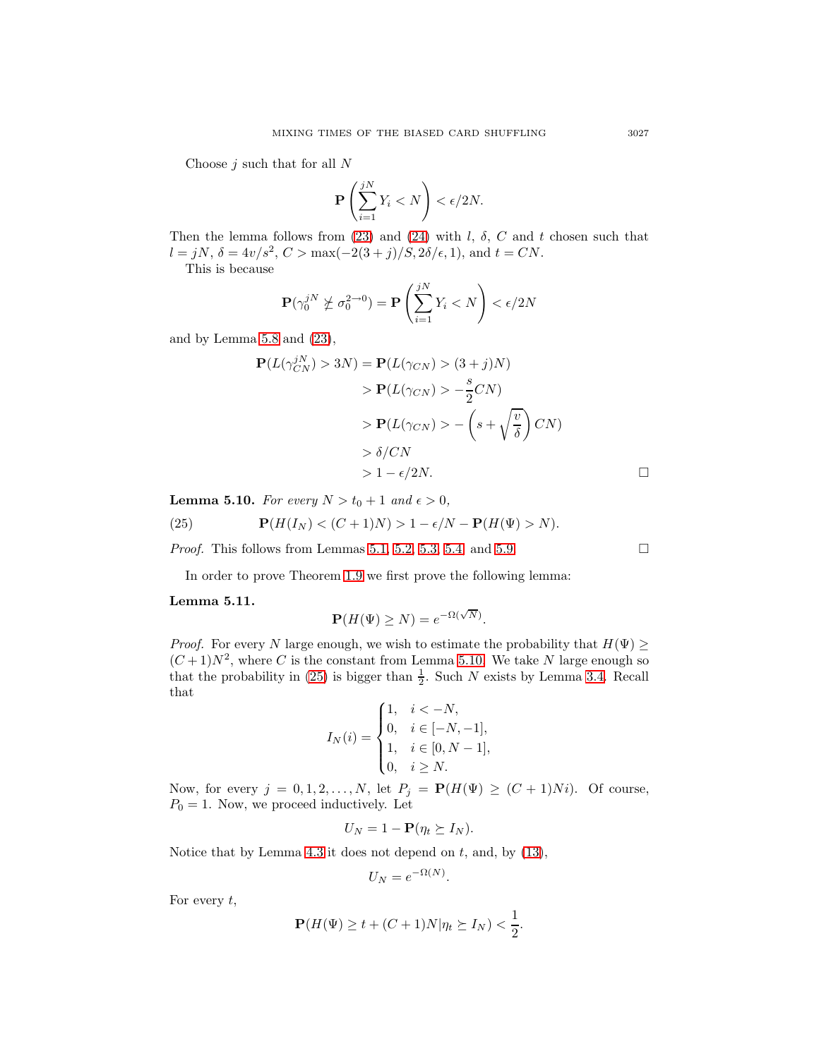Choose  $j$  such that for all  $N$ 

$$
\mathbf{P}\left(\sum_{i=1}^{jN}Y_i < N\right) < \epsilon/2N.
$$

Then the lemma follows from [\(23\)](#page-13-1) and [\(24\)](#page-13-2) with l,  $\delta$ , C and t chosen such that  $l = jN, \delta = 4v/s^2, C > \max(-2(3+j)/S, 2\delta/\epsilon, 1), \text{ and } t = CN.$ 

This is because

$$
\mathbf{P}(\gamma_0^{jN} \not\ge \sigma_0^{2\to 0}) = \mathbf{P}\left(\sum_{i=1}^{jN} Y_i < N\right) < \epsilon/2N
$$

and by Lemma [5.8](#page-13-0) and [\(23\)](#page-13-1),

$$
\mathbf{P}(L(\gamma_{CN}^{jN}) > 3N) = \mathbf{P}(L(\gamma_{CN}) > (3+j)N)
$$
  
> 
$$
\mathbf{P}(L(\gamma_{CN}) > -\frac{s}{2}CN)
$$
  
> 
$$
\mathbf{P}(L(\gamma_{CN}) > -\left(s + \sqrt{\frac{v}{\delta}}\right)CN)
$$
  
> 
$$
\delta/CN
$$
  
> 
$$
1 - \epsilon/2N.
$$

<span id="page-14-1"></span>**Lemma 5.10.** *For every*  $N > t_0 + 1$  *and*  $\epsilon > 0$ *,* 

(25) 
$$
\mathbf{P}(H(I_N) < (C+1)N) > 1 - \epsilon/N - \mathbf{P}(H(\Psi) > N).
$$

*Proof.* This follows from Lemmas [5.1,](#page-10-2) [5.2,](#page-11-0) [5.3,](#page-11-1) [5.4,](#page-11-2) and [5.9.](#page-13-3) □

In order to prove Theorem [1.9](#page-3-0) we first prove the following lemma:

# <span id="page-14-0"></span>**Lemma 5.11.**

<span id="page-14-2"></span>
$$
\mathbf{P}(H(\Psi) \ge N) = e^{-\Omega(\sqrt{N})}.
$$

*Proof.* For every N large enough, we wish to estimate the probability that  $H(\Psi) \ge$  $(C+1)N^2$ , where C is the constant from Lemma [5.10.](#page-14-1) We take N large enough so that the probability in [\(25\)](#page-14-2) is bigger than  $\frac{1}{2}$ . Such N exists by Lemma [3.4.](#page-8-1) Recall that

$$
I_N(i) = \begin{cases} 1, & i < -N, \\ 0, & i \in [-N, -1], \\ 1, & i \in [0, N-1], \\ 0, & i \ge N. \end{cases}
$$

Now, for every  $j = 0, 1, 2, ..., N$ , let  $P_j = P(H(\Psi) \ge (C+1)Ni)$ . Of course,  $P_0 = 1$ . Now, we proceed inductively. Let

$$
U_N = 1 - \mathbf{P}(\eta_t \succeq I_N).
$$

Notice that by Lemma [4.3](#page-10-1) it does not depend on  $t$ , and, by  $(13)$ ,

$$
U_N = e^{-\Omega(N)}
$$

.

For every  $t$ ,

$$
\mathbf{P}(H(\Psi) \ge t + (C+1)N|\eta_t \ge I_N) < \frac{1}{2}.
$$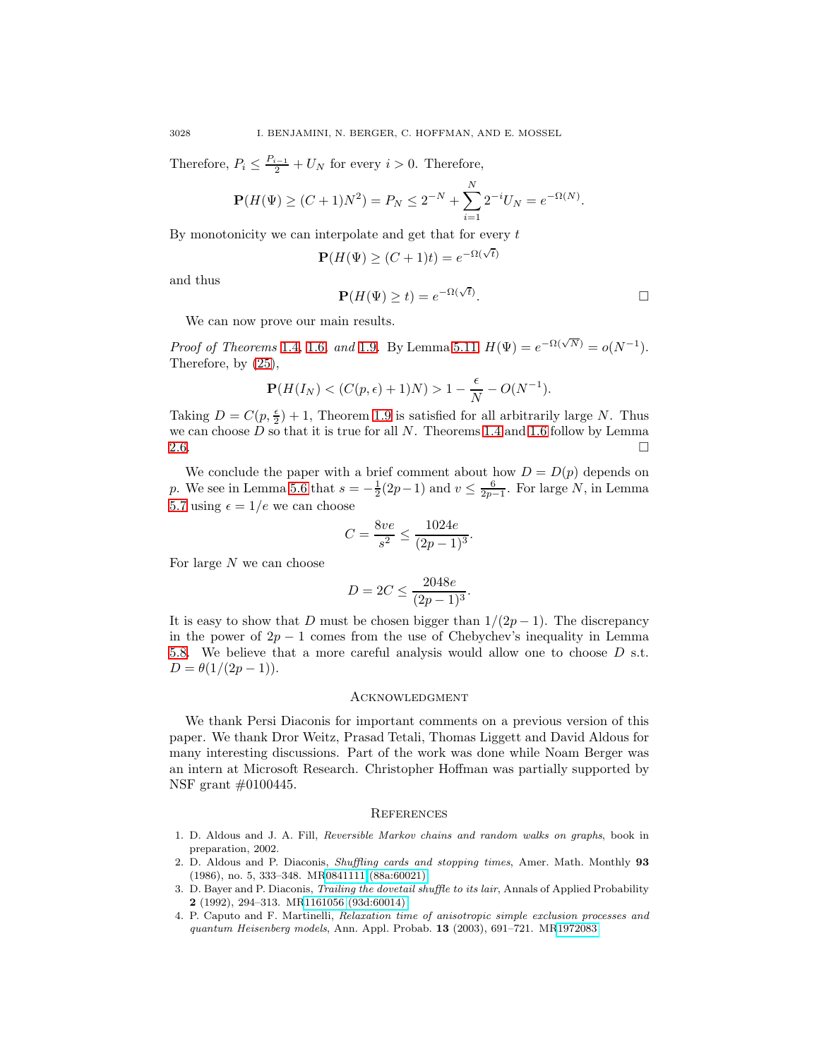Therefore,  $P_i \leq \frac{P_{i-1}}{2} + U_N$  for every  $i > 0$ . Therefore,

$$
\mathbf{P}(H(\Psi) \ge (C+1)N^2) = P_N \le 2^{-N} + \sum_{i=1}^N 2^{-i}U_N = e^{-\Omega(N)}.
$$

By monotonicity we can interpolate and get that for every  $t$ 

$$
\mathbf{P}(H(\Psi) \ge (C+1)t) = e^{-\Omega(\sqrt{t})}
$$

and thus

$$
\mathbf{P}(H(\Psi) \ge t) = e^{-\Omega(\sqrt{t})}.
$$

We can now prove our main results.

*Proof of Theorems* [1.4](#page-1-1), [1.6](#page-1-0)*, and* [1.9](#page-3-0)*.* By Lemma [5.11,](#page-14-0)  $H(\Psi) = e^{-\Omega(\sqrt{N})} = o(N^{-1})$ . Therefore, by [\(25\)](#page-14-2),

$$
\mathbf{P}(H(I_N) < (C(p, \epsilon) + 1)N) > 1 - \frac{\epsilon}{N} - O(N^{-1}).
$$

Taking  $D = C(p, \frac{\epsilon}{2}) + 1$ , Theorem [1.9](#page-3-0) is satisfied for all arbitrarily large N. Thus we can choose  $D$  so that it is true for all  $N$ . Theorems [1.4](#page-1-1) and [1.6](#page-1-0) follow by Lemma [2.6.](#page-6-4)  $\Box$ 

We conclude the paper with a brief comment about how  $D = D(p)$  depends on p. We see in Lemma [5.6](#page-12-0) that  $s = -\frac{1}{2}(2p-1)$  and  $v \le \frac{6}{2p-1}$ . For large N, in Lemma [5.7](#page-13-4) using  $\epsilon = 1/e$  we can choose

$$
C = \frac{8ve}{s^2} \le \frac{1024e}{(2p-1)^3}.
$$

For large N we can choose

$$
D = 2C \le \frac{2048e}{(2p-1)^3}.
$$

It is easy to show that D must be chosen bigger than  $1/(2p-1)$ . The discrepancy in the power of  $2p - 1$  comes from the use of Chebychev's inequality in Lemma [5.8.](#page-13-0) We believe that a more careful analysis would allow one to choose D s.t.  $D = \theta(1/(2p-1)).$ 

## **ACKNOWLEDGMENT**

We thank Persi Diaconis for important comments on a previous version of this paper. We thank Dror Weitz, Prasad Tetali, Thomas Liggett and David Aldous for many interesting discussions. Part of the work was done while Noam Berger was an intern at Microsoft Research. Christopher Hoffman was partially supported by NSF grant #0100445.

## **REFERENCES**

- 1. D. Aldous and J. A. Fill, Reversible Markov chains and random walks on graphs, book in preparation, 2002.
- <span id="page-15-0"></span>2. D. Aldous and P. Diaconis, Shuffling cards and stopping times, Amer. Math. Monthly **93** (1986), no. 5, 333–348. M[R0841111 \(88a:60021\)](http://www.ams.org/mathscinet-getitem?mr=0841111)
- <span id="page-15-1"></span>3. D. Bayer and P. Diaconis, Trailing the dovetail shuffle to its lair, Annals of Applied Probability **2** (1992), 294–313. M[R1161056 \(93d:60014\)](http://www.ams.org/mathscinet-getitem?mr=1161056)
- <span id="page-15-2"></span>4. P. Caputo and F. Martinelli, Relaxation time of anisotropic simple exclusion processes and quantum Heisenberg models, Ann. Appl. Probab. **13** (2003), 691–721. M[R1972083](http://www.ams.org/mathscinet-getitem?mr=1972083)